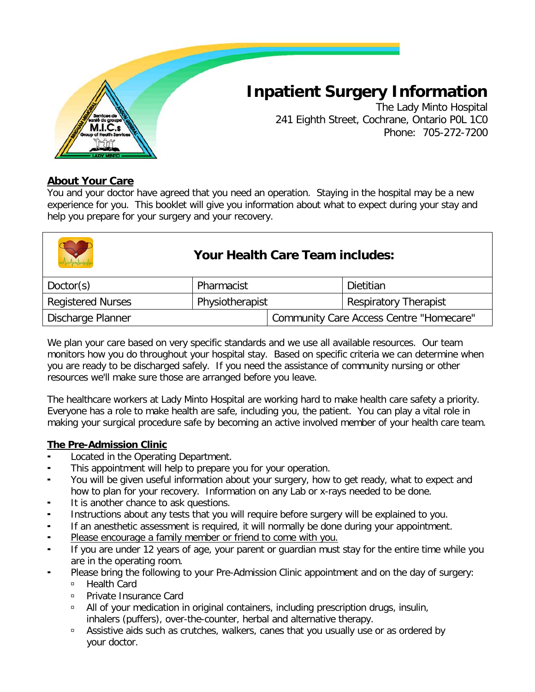

# **Inpatient Surgery Information**

The Lady Minto Hospital 241 Eighth Street, Cochrane, Ontario P0L 1C0 Phone: 705-272-7200

#### **About Your Care**

You and your doctor have agreed that you need an operation. Staying in the hospital may be a new experience for you. This booklet will give you information about what to expect during your stay and help you prepare for your surgery and your recovery.

|           | <b>Your Health Care Team includes:</b> |           |  |
|-----------|----------------------------------------|-----------|--|
| Doctor(s) | Pharmacist                             | Dietitian |  |

| Doctor(s)                | Pharmacist      |                                         | Dietitian                    |
|--------------------------|-----------------|-----------------------------------------|------------------------------|
| <b>Registered Nurses</b> | Physiotherapist |                                         | <b>Respiratory Therapist</b> |
| Discharge Planner        |                 | Community Care Access Centre "Homecare" |                              |

We plan your care based on very specific standards and we use all available resources. Our team monitors how you do throughout your hospital stay. Based on specific criteria we can determine when you are ready to be discharged safely. If you need the assistance of community nursing or other resources we'll make sure those are arranged before you leave.

The healthcare workers at Lady Minto Hospital are working hard to make health care safety a priority. Everyone has a role to make health are safe, including you, the patient. You can play a vital role in making your surgical procedure safe by becoming an active involved member of your health care team.

#### **The Pre-Admission Clinic**

- Located in the Operating Department.
- This appointment will help to prepare you for your operation.
- You will be given useful information about your surgery, how to get ready, what to expect and how to plan for your recovery. Information on any Lab or x-rays needed to be done.
- It is another chance to ask questions.
- Instructions about any tests that you will require before surgery will be explained to you.
- If an anesthetic assessment is required, it will normally be done during your appointment.
- Please encourage a family member or friend to come with you.
- If you are under 12 years of age, your parent or guardian must stay for the entire time while you are in the operating room.
- Please bring the following to your Pre-Admission Clinic appointment and on the day of surgery:
	- Health Card
	- □ Private Insurance Card
	- All of your medication in original containers, including prescription drugs, insulin, inhalers (puffers), over-the-counter, herbal and alternative therapy.
	- □ Assistive aids such as crutches, walkers, canes that you usually use or as ordered by your doctor.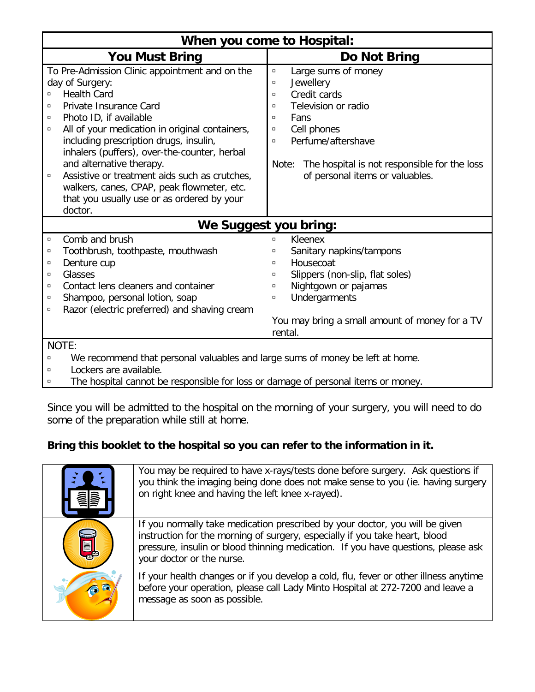| When you come to Hospital:                                                             |                                                       |  |  |
|----------------------------------------------------------------------------------------|-------------------------------------------------------|--|--|
| <b>You Must Bring</b>                                                                  | Do Not Bring                                          |  |  |
| To Pre-Admission Clinic appointment and on the                                         | Large sums of money<br>$\Box$                         |  |  |
| day of Surgery:                                                                        | Jewellery<br>$\Box$                                   |  |  |
| <b>Health Card</b><br>$\Box$                                                           | Credit cards<br>$\Box$                                |  |  |
| Private Insurance Card<br>α                                                            | Television or radio<br>$\Box$                         |  |  |
| Photo ID, if available<br>$\Box$                                                       | Fans<br>$\Box$                                        |  |  |
| All of your medication in original containers,<br>$\Box$                               | Cell phones<br>$\Box$                                 |  |  |
| including prescription drugs, insulin,                                                 | Perfume/aftershave<br>$\Box$                          |  |  |
| inhalers (puffers), over-the-counter, herbal                                           |                                                       |  |  |
| and alternative therapy.                                                               | The hospital is not responsible for the loss<br>Note: |  |  |
| Assistive or treatment aids such as crutches,<br>$\Box$                                | of personal items or valuables.                       |  |  |
| walkers, canes, CPAP, peak flowmeter, etc.                                             |                                                       |  |  |
| that you usually use or as ordered by your                                             |                                                       |  |  |
| doctor.                                                                                |                                                       |  |  |
|                                                                                        | We Suggest you bring:                                 |  |  |
| Comb and brush<br>$\Box$                                                               | Kleenex<br>$\Box$                                     |  |  |
| Toothbrush, toothpaste, mouthwash<br>$\Box$                                            | Sanitary napkins/tampons<br>α                         |  |  |
| Denture cup<br>α                                                                       | Housecoat<br>$\Box$                                   |  |  |
| Glasses<br>$\Box$                                                                      | Slippers (non-slip, flat soles)<br>$\Box$             |  |  |
| Contact lens cleaners and container<br>α                                               | Nightgown or pajamas<br>σ                             |  |  |
| Shampoo, personal lotion, soap<br>α                                                    | Undergarments<br>$\Box$                               |  |  |
| Razor (electric preferred) and shaving cream<br>$\Box$                                 |                                                       |  |  |
| You may bring a small amount of money for a TV                                         |                                                       |  |  |
| rental.                                                                                |                                                       |  |  |
| NOTE:                                                                                  |                                                       |  |  |
| We recommend that personal valuables and large sums of money he left at home<br>$\Box$ |                                                       |  |  |

We recommend that personal valuables and large sums of money be left at home.

**Example 2** Lockers are available.

The hospital cannot be responsible for loss or damage of personal items or money.

Since you will be admitted to the hospital on the morning of your surgery, you will need to do some of the preparation while still at home.

## **Bring this booklet to the hospital so you can refer to the information in it.**

| You may be required to have x-rays/tests done before surgery. Ask questions if<br>you think the imaging being done does not make sense to you (ie. having surgery<br>on right knee and having the left knee x-rayed).                                                         |
|-------------------------------------------------------------------------------------------------------------------------------------------------------------------------------------------------------------------------------------------------------------------------------|
| If you normally take medication prescribed by your doctor, you will be given<br>instruction for the morning of surgery, especially if you take heart, blood<br>pressure, insulin or blood thinning medication. If you have questions, please ask<br>your doctor or the nurse. |
| If your health changes or if you develop a cold, flu, fever or other illness anytime<br>before your operation, please call Lady Minto Hospital at 272-7200 and leave a<br>message as soon as possible.                                                                        |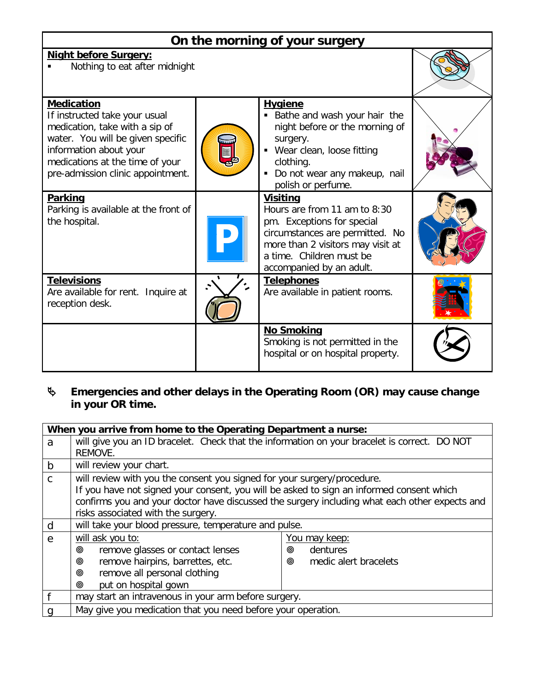| On the morning of your surgery                                                                                                                                                                                              |  |                                                                                                                                                                                                               |  |  |  |
|-----------------------------------------------------------------------------------------------------------------------------------------------------------------------------------------------------------------------------|--|---------------------------------------------------------------------------------------------------------------------------------------------------------------------------------------------------------------|--|--|--|
| <b>Night before Surgery:</b><br>Nothing to eat after midnight                                                                                                                                                               |  |                                                                                                                                                                                                               |  |  |  |
| <b>Medication</b><br>If instructed take your usual<br>medication, take with a sip of<br>water. You will be given specific<br>information about your<br>medications at the time of your<br>pre-admission clinic appointment. |  | <b>Hygiene</b><br>Bathe and wash your hair the<br>night before or the morning of<br>surgery.<br>• Wear clean, loose fitting<br>clothing.<br>Do not wear any makeup, nail<br>٠<br>polish or perfume.           |  |  |  |
| <b>Parking</b><br>Parking is available at the front of<br>the hospital.                                                                                                                                                     |  | <b>Visiting</b><br>Hours are from 11 am to 8:30<br>pm. Exceptions for special<br>circumstances are permitted. No<br>more than 2 visitors may visit at<br>a time. Children must be<br>accompanied by an adult. |  |  |  |
| <b>Televisions</b><br>Are available for rent. Inquire at<br>reception desk.                                                                                                                                                 |  | <b>Telephones</b><br>Are available in patient rooms.                                                                                                                                                          |  |  |  |
|                                                                                                                                                                                                                             |  | <b>No Smoking</b><br>Smoking is not permitted in the<br>hospital or on hospital property.                                                                                                                     |  |  |  |

# **Emergencies and other delays in the Operating Room (OR) may cause change in your OR time.**

| When you arrive from home to the Operating Department a nurse: |                                                                                               |                            |  |  |
|----------------------------------------------------------------|-----------------------------------------------------------------------------------------------|----------------------------|--|--|
| a                                                              | will give you an ID bracelet. Check that the information on your bracelet is correct. DO NOT  |                            |  |  |
|                                                                | REMOVE.                                                                                       |                            |  |  |
| b                                                              | will review your chart.                                                                       |                            |  |  |
| $\mathsf{C}$                                                   | will review with you the consent you signed for your surgery/procedure.                       |                            |  |  |
|                                                                | If you have not signed your consent, you will be asked to sign an informed consent which      |                            |  |  |
|                                                                | confirms you and your doctor have discussed the surgery including what each other expects and |                            |  |  |
|                                                                | risks associated with the surgery.                                                            |                            |  |  |
| d                                                              | will take your blood pressure, temperature and pulse.                                         |                            |  |  |
| e                                                              | will ask you to:                                                                              | <u>You may keep:</u>       |  |  |
|                                                                | remove glasses or contact lenses<br>◉                                                         | dentures<br>◉              |  |  |
|                                                                | remove hairpins, barrettes, etc.<br>◉                                                         | medic alert bracelets<br>◉ |  |  |
|                                                                | remove all personal clothing<br>◉                                                             |                            |  |  |
|                                                                | put on hospital gown<br>◉                                                                     |                            |  |  |
|                                                                | may start an intravenous in your arm before surgery.                                          |                            |  |  |
|                                                                | May give you medication that you need before your operation.                                  |                            |  |  |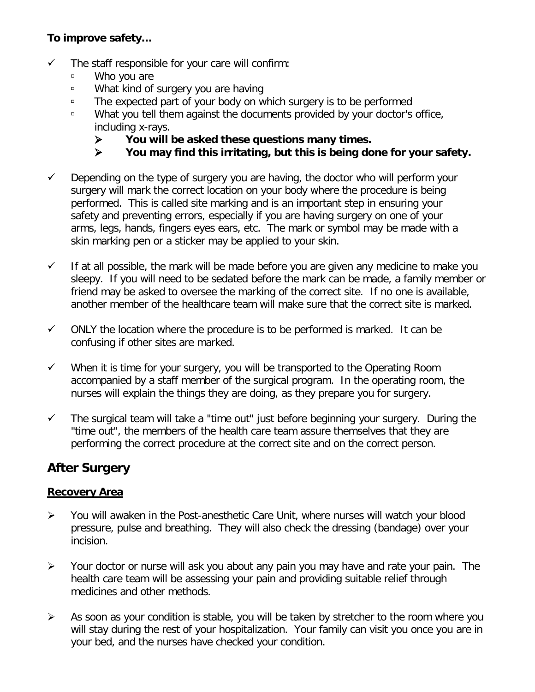# **To improve safety…**

- $\checkmark$  The staff responsible for your care will confirm:
	- Who you are
	- What kind of surgery you are having
	- □ The expected part of your body on which surgery is to be performed
	- □ What you tell them against the documents provided by your doctor's office, including x-rays.
		- **EXECU** You will be asked these questions many times.<br>► You may find this irritating, but this is being do
		- **You may find this irritating, but this is being done for your safety.**
- $\checkmark$  Depending on the type of surgery you are having, the doctor who will perform your surgery will mark the correct location on your body where the procedure is being performed. This is called site marking and is an important step in ensuring your safety and preventing errors, especially if you are having surgery on one of your arms, legs, hands, fingers eyes ears, etc. The mark or symbol may be made with a skin marking pen or a sticker may be applied to your skin.
- $\checkmark$  If at all possible, the mark will be made before you are given any medicine to make you sleepy. If you will need to be sedated before the mark can be made, a family member or friend may be asked to oversee the marking of the correct site. If no one is available, another member of the healthcare team will make sure that the correct site is marked.
- $\checkmark$  ONLY the location where the procedure is to be performed is marked. It can be confusing if other sites are marked.
- $\checkmark$  When it is time for your surgery, you will be transported to the Operating Room accompanied by a staff member of the surgical program. In the operating room, the nurses will explain the things they are doing, as they prepare you for surgery.
- $\checkmark$  The surgical team will take a "time out" just before beginning your surgery. During the "time out", the members of the health care team assure themselves that they are performing the correct procedure at the correct site and on the correct person.

# **After Surgery**

## **Recovery Area**

- You will awaken in the Post-anesthetic Care Unit, where nurses will watch your blood pressure, pulse and breathing. They will also check the dressing (bandage) over your incision.
- $\triangleright$  Your doctor or nurse will ask you about any pain you may have and rate your pain. The health care team will be assessing your pain and providing suitable relief through medicines and other methods.
- $\triangleright$  As soon as your condition is stable, you will be taken by stretcher to the room where you will stay during the rest of your hospitalization. Your family can visit you once you are in your bed, and the nurses have checked your condition.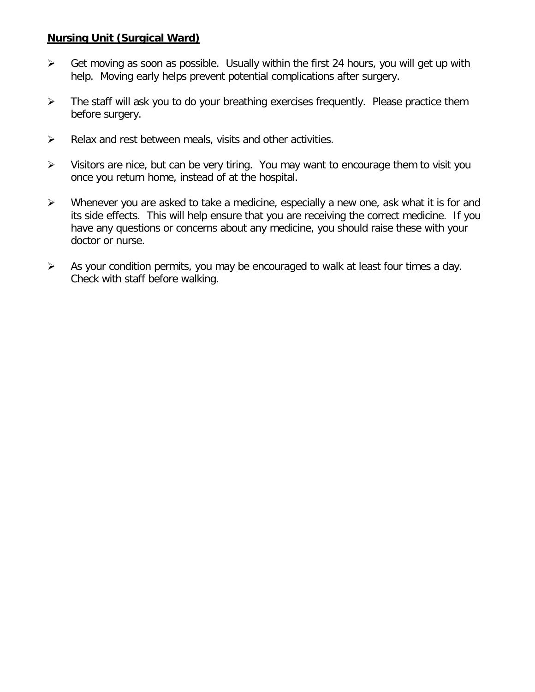#### **Nursing Unit (Surgical Ward)**

- $\triangleright$  Get moving as soon as possible. Usually within the first 24 hours, you will get up with help. Moving early helps prevent potential complications after surgery.
- $\triangleright$  The staff will ask you to do your breathing exercises frequently. Please practice them before surgery.
- $\triangleright$  Relax and rest between meals, visits and other activities.
- $\triangleright$  Visitors are nice, but can be very tiring. You may want to encourage them to visit you once you return home, instead of at the hospital.
- $\triangleright$  Whenever you are asked to take a medicine, especially a new one, ask what it is for and its side effects. This will help ensure that you are receiving the correct medicine. If you have any questions or concerns about any medicine, you should raise these with your doctor or nurse.
- $\triangleright$  As your condition permits, you may be encouraged to walk at least four times a day. Check with staff before walking.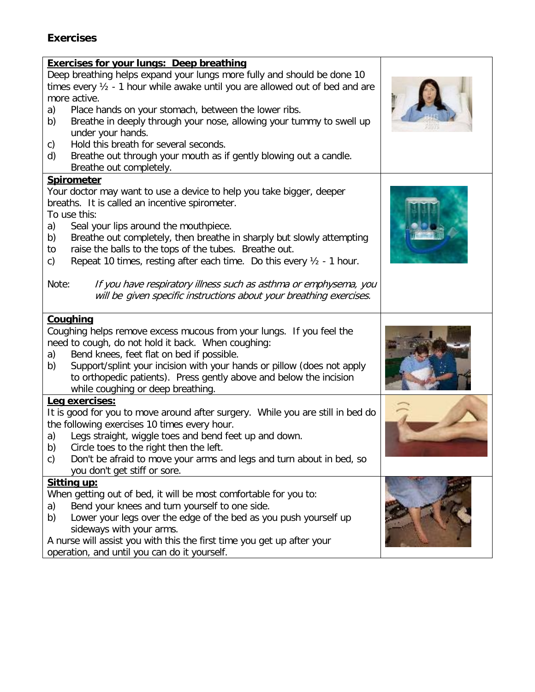# **Exercises**

| <b>Exercises for your lungs: Deep breathing</b><br>Deep breathing helps expand your lungs more fully and should be done 10                    |  |
|-----------------------------------------------------------------------------------------------------------------------------------------------|--|
| times every $\frac{1}{2}$ - 1 hour while awake until you are allowed out of bed and are<br>more active.                                       |  |
| Place hands on your stomach, between the lower ribs.<br>a)                                                                                    |  |
| Breathe in deeply through your nose, allowing your tummy to swell up<br>b)<br>under your hands.                                               |  |
| Hold this breath for several seconds.<br>C)                                                                                                   |  |
| Breathe out through your mouth as if gently blowing out a candle.<br>d)<br>Breathe out completely.                                            |  |
| <b>Spirometer</b>                                                                                                                             |  |
| Your doctor may want to use a device to help you take bigger, deeper                                                                          |  |
| breaths. It is called an incentive spirometer.                                                                                                |  |
| To use this:                                                                                                                                  |  |
| Seal your lips around the mouthpiece.<br>a)                                                                                                   |  |
| Breathe out completely, then breathe in sharply but slowly attempting<br>b)                                                                   |  |
| raise the balls to the tops of the tubes. Breathe out.<br>to<br>Repeat 10 times, resting after each time. Do this every $1/2$ - 1 hour.<br>c) |  |
|                                                                                                                                               |  |
| If you have respiratory illness such as asthma or emphysema, you<br>Note:                                                                     |  |
| will be given specific instructions about your breathing exercises.                                                                           |  |
|                                                                                                                                               |  |
| <b>Coughing</b>                                                                                                                               |  |
| Coughing helps remove excess mucous from your lungs. If you feel the<br>need to cough, do not hold it back. When coughing:                    |  |
| Bend knees, feet flat on bed if possible.<br>a)                                                                                               |  |
| Support/splint your incision with your hands or pillow (does not apply<br>b)                                                                  |  |
| to orthopedic patients). Press gently above and below the incision                                                                            |  |
| while coughing or deep breathing.                                                                                                             |  |
| Leg exercises:                                                                                                                                |  |
| It is good for you to move around after surgery. While you are still in bed do<br>the following exercises 10 times every hour.                |  |
| Legs straight, wiggle toes and bend feet up and down.<br>a)                                                                                   |  |
| Circle toes to the right then the left.<br>b)                                                                                                 |  |
| Don't be afraid to move your arms and legs and turn about in bed, so<br>c)                                                                    |  |
| you don't get stiff or sore.                                                                                                                  |  |
| <u>Sitting up:</u>                                                                                                                            |  |
| When getting out of bed, it will be most comfortable for you to:                                                                              |  |
| Bend your knees and turn yourself to one side.<br>a)<br>Lower your legs over the edge of the bed as you push yourself up<br>b)                |  |
| sideways with your arms.                                                                                                                      |  |
| A nurse will assist you with this the first time you get up after your                                                                        |  |
| operation, and until you can do it yourself.                                                                                                  |  |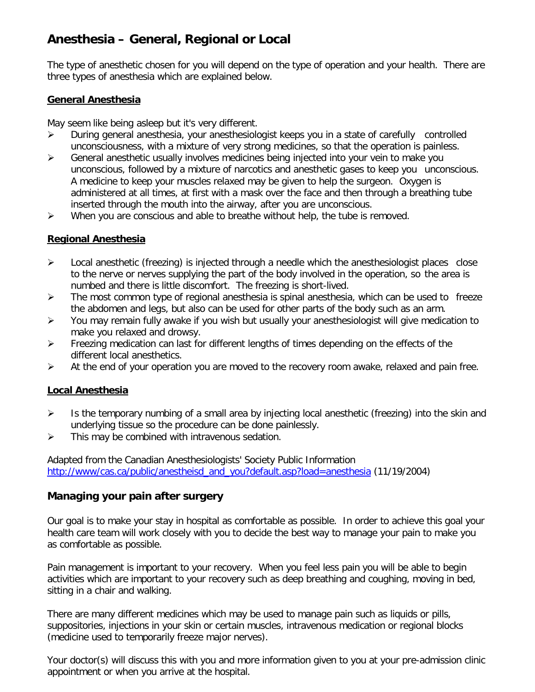# **Anesthesia – General, Regional or Local**

The type of anesthetic chosen for you will depend on the type of operation and your health. There are three types of anesthesia which are explained below.

#### **General Anesthesia**

May seem like being asleep but it's very different.

- $\triangleright$  During general anesthesia, your anesthesiologist keeps you in a state of carefully controlled unconsciousness, with a mixture of very strong medicines, so that the operation is painless.
- $\triangleright$  General anesthetic usually involves medicines being injected into your vein to make you unconscious, followed by a mixture of narcotics and anesthetic gases to keep you unconscious. A medicine to keep your muscles relaxed may be given to help the surgeon. Oxygen is administered at all times, at first with a mask over the face and then through a breathing tube inserted through the mouth into the airway, after you are unconscious.
- $\triangleright$  When you are conscious and able to breathe without help, the tube is removed.

#### **Regional Anesthesia**

- $\triangleright$  Local anesthetic (freezing) is injected through a needle which the anesthesiologist places close to the nerve or nerves supplying the part of the body involved in the operation, so the area is numbed and there is little discomfort. The freezing is short-lived.
- $\triangleright$  The most common type of regional anesthesia is spinal anesthesia, which can be used to freeze the abdomen and legs, but also can be used for other parts of the body such as an arm.
- $\triangleright$  You may remain fully awake if you wish but usually your anesthesiologist will give medication to make you relaxed and drowsy.
- $\triangleright$  Freezing medication can last for different lengths of times depending on the effects of the different local anesthetics.
- $\triangleright$  At the end of your operation you are moved to the recovery room awake, relaxed and pain free.

#### **Local Anesthesia**

- $\triangleright$  Is the temporary numbing of a small area by injecting local anesthetic (freezing) into the skin and underlying tissue so the procedure can be done painlessly.
- $\triangleright$  This may be combined with intravenous sedation.

Adapted from the Canadian Anesthesiologists' Society Public Information [http://www/cas.ca/public/anestheisd\\_and\\_you?default.asp?load=anesthesia](http://www/cas.ca/public/anestheisd_and_you?default.asp?load=anesthesia) (11/19/2004)

#### **Managing your pain after surgery**

Our goal is to make your stay in hospital as comfortable as possible. In order to achieve this goal your health care team will work closely with you to decide the best way to manage your pain to make you as comfortable as possible.

Pain management is important to your recovery. When you feel less pain you will be able to begin activities which are important to your recovery such as deep breathing and coughing, moving in bed, sitting in a chair and walking.

There are many different medicines which may be used to manage pain such as liquids or pills, suppositories, injections in your skin or certain muscles, intravenous medication or regional blocks (medicine used to temporarily freeze major nerves).

Your doctor(s) will discuss this with you and more information given to you at your pre-admission clinic appointment or when you arrive at the hospital.